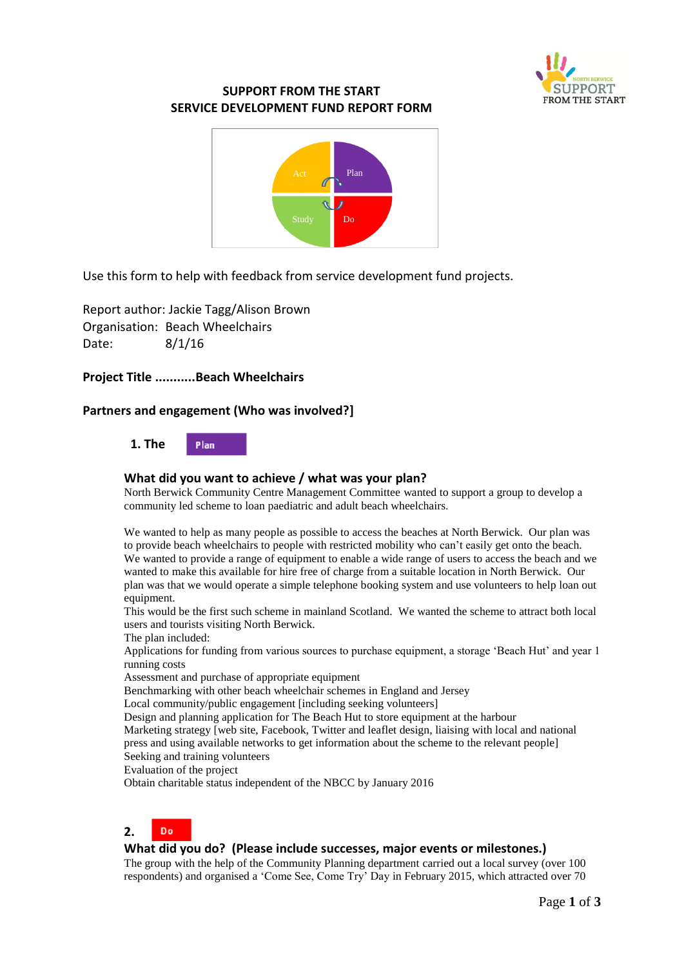

# **SUPPORT FROM THE START SERVICE DEVELOPMENT FUND REPORT FORM**



Use this form to help with feedback from service development fund projects.

Report author: Jackie Tagg/Alison Brown Organisation: Beach Wheelchairs Date: 8/1/16

# **Project Title ...........Beach Wheelchairs**

# **Partners and engagement (Who was involved?]**

 **1. The**  Plan

### **What did you want to achieve / what was your plan?**

North Berwick Community Centre Management Committee wanted to support a group to develop a community led scheme to loan paediatric and adult beach wheelchairs.

We wanted to help as many people as possible to access the beaches at North Berwick. Our plan was to provide beach wheelchairs to people with restricted mobility who can't easily get onto the beach. We wanted to provide a range of equipment to enable a wide range of users to access the beach and we wanted to make this available for hire free of charge from a suitable location in North Berwick. Our plan was that we would operate a simple telephone booking system and use volunteers to help loan out equipment.

This would be the first such scheme in mainland Scotland. We wanted the scheme to attract both local users and tourists visiting North Berwick.

The plan included:

Applications for funding from various sources to purchase equipment, a storage 'Beach Hut' and year 1 running costs

Assessment and purchase of appropriate equipment

Benchmarking with other beach wheelchair schemes in England and Jersey

Local community/public engagement [including seeking volunteers]

Design and planning application for The Beach Hut to store equipment at the harbour Marketing strategy [web site, Facebook, Twitter and leaflet design, liaising with local and national press and using available networks to get information about the scheme to the relevant people]

Seeking and training volunteers

Evaluation of the project

Obtain charitable status independent of the NBCC by January 2016

#### Do **2.**

### **What did you do? (Please include successes, major events or milestones.)**

The group with the help of the Community Planning department carried out a local survey (over 100 respondents) and organised a 'Come See, Come Try' Day in February 2015, which attracted over 70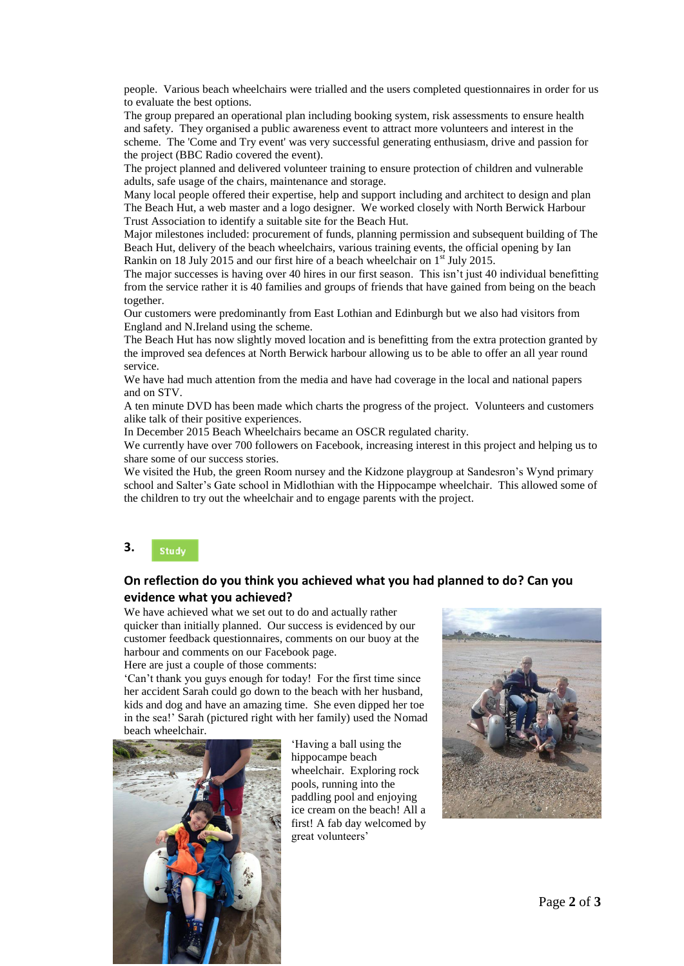people. Various beach wheelchairs were trialled and the users completed questionnaires in order for us to evaluate the best options.

The group prepared an operational plan including booking system, risk assessments to ensure health and safety. They organised a public awareness event to attract more volunteers and interest in the scheme. The 'Come and Try event' was very successful generating enthusiasm, drive and passion for the project (BBC Radio covered the event).

The project planned and delivered volunteer training to ensure protection of children and vulnerable adults, safe usage of the chairs, maintenance and storage.

Many local people offered their expertise, help and support including and architect to design and plan The Beach Hut, a web master and a logo designer. We worked closely with North Berwick Harbour Trust Association to identify a suitable site for the Beach Hut.

Major milestones included: procurement of funds, planning permission and subsequent building of The Beach Hut, delivery of the beach wheelchairs, various training events, the official opening by Ian Rankin on 18 July 2015 and our first hire of a beach wheelchair on  $1<sup>st</sup>$  July 2015.

The major successes is having over 40 hires in our first season. This isn't just 40 individual benefitting from the service rather it is 40 families and groups of friends that have gained from being on the beach together.

Our customers were predominantly from East Lothian and Edinburgh but we also had visitors from England and N.Ireland using the scheme.

The Beach Hut has now slightly moved location and is benefitting from the extra protection granted by the improved sea defences at North Berwick harbour allowing us to be able to offer an all year round service.

We have had much attention from the media and have had coverage in the local and national papers and on STV.

A ten minute DVD has been made which charts the progress of the project. Volunteers and customers alike talk of their positive experiences.

In December 2015 Beach Wheelchairs became an OSCR regulated charity.

We currently have over 700 followers on Facebook, increasing interest in this project and helping us to share some of our success stories.

We visited the Hub, the green Room nursey and the Kidzone playgroup at Sandesron's Wynd primary school and Salter's Gate school in Midlothian with the Hippocampe wheelchair. This allowed some of the children to try out the wheelchair and to engage parents with the project.

#### **3.**  Study

# **On reflection do you think you achieved what you had planned to do? Can you evidence what you achieved?**

We have achieved what we set out to do and actually rather quicker than initially planned. Our success is evidenced by our customer feedback questionnaires, comments on our buoy at the harbour and comments on our Facebook page.

Here are just a couple of those comments:

'Can't thank you guys enough for today! For the first time since her accident Sarah could go down to the beach with her husband, kids and dog and have an amazing time. She even dipped her toe in the sea!' Sarah (pictured right with her family) used the Nomad beach wheelchair.



'Having a ball using the hippocampe beach wheelchair. Exploring rock pools, running into the paddling pool and enjoying ice cream on the beach! All a first! A fab day welcomed by great volunteers'